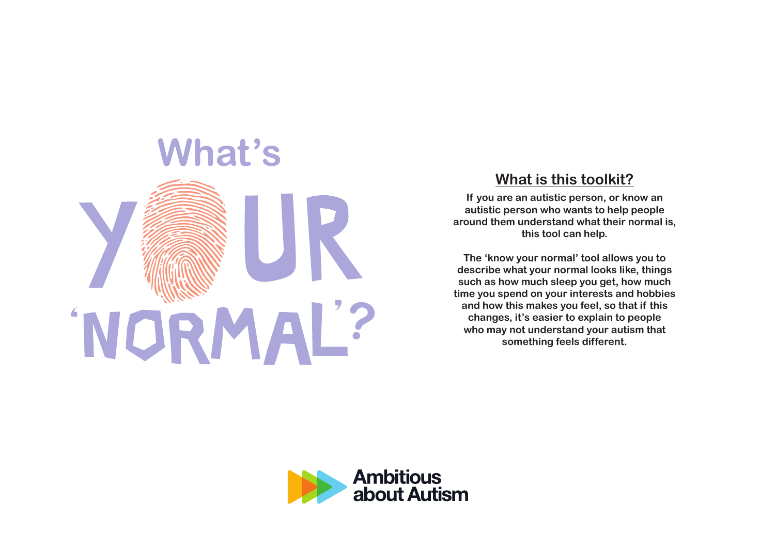

#### **What is this toolkit?**

**If you are an autistic person, or know an autistic person who wants to help people around them understand what their normal is, this tool can help.**

**The 'know your normal' tool allows you to describe what your normal looks like, things such as how much sleep you get, how much time you spend on your interests and hobbies and how this makes you feel, so that if this changes, it's easier to explain to people who may not understand your autism that something feels different.**

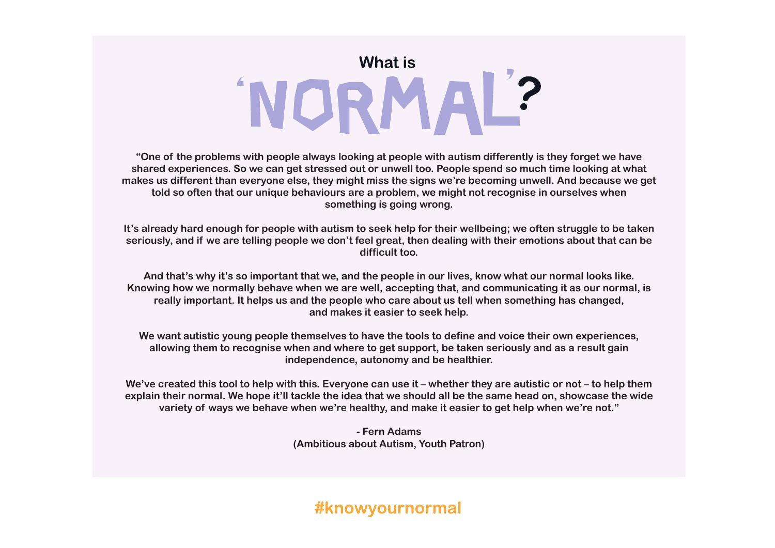# What is 'NORMAL?

**"One of the problems with people always looking at people with autism differently is they forget we have shared experiences. So we can get stressed out or unwell too. People spend so much time looking at what makes us different than everyone else, they might miss the signs we're becoming unwell. And because we get told so often that our unique behaviours are a problem, we might not recognise in ourselves when something is going wrong.**

**It's already hard enough for people with autism to seek help for their wellbeing; we often struggle to be taken seriously, and if we are telling people we don't feel great, then dealing with their emotions about that can be difficult too.** 

**And that's why it's so important that we, and the people in our lives, know what our normal looks like. Knowing how we normally behave when we are well, accepting that, and communicating it as our normal, is really important. It helps us and the people who care about us tell when something has changed, and makes it easier to seek help.**

**We want autistic young people themselves to have the tools to define and voice their own experiences, allowing them to recognise when and where to get support, be taken seriously and as a result gain independence, autonomy and be healthier.**

**We've created this tool to help with this. Everyone can use it – whether they are autistic or not – to help them explain their normal. We hope it'll tackle the idea that we should all be the same head on, showcase the wide variety of ways we behave when we're healthy, and make it easier to get help when we're not."**

> **- Fern Adams (Ambitious about Autism, Youth Patron)**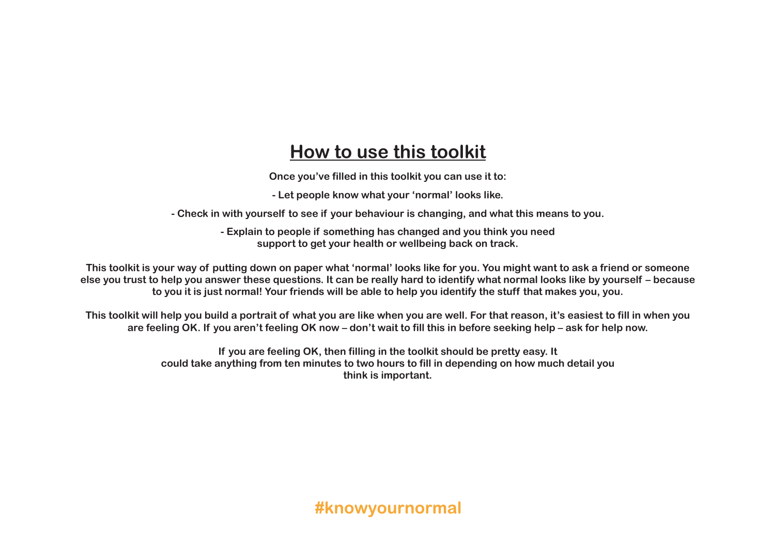## **How to use this toolkit**

**Once you've filled in this toolkit you can use it to:**

**- Let people know what your 'normal' looks like.**

**- Check in with yourself to see if your behaviour is changing, and what this means to you.**

**- Explain to people if something has changed and you think you need support to get your health or wellbeing back on track.**

**This toolkit is your way of putting down on paper what 'normal' looks like for you. You might want to ask a friend or someone else you trust to help you answer these questions. It can be really hard to identify what normal looks like by yourself – because to you it is just normal! Your friends will be able to help you identify the stuff that makes you, you.**

**This toolkit will help you build a portrait of what you are like when you are well. For that reason, it's easiest to fill in when you are feeling OK. If you aren't feeling OK now – don't wait to fill this in before seeking help – ask for help now.**

> **If you are feeling OK, then filling in the toolkit should be pretty easy. It could take anything from ten minutes to two hours to fill in depending on how much detail you think is important.**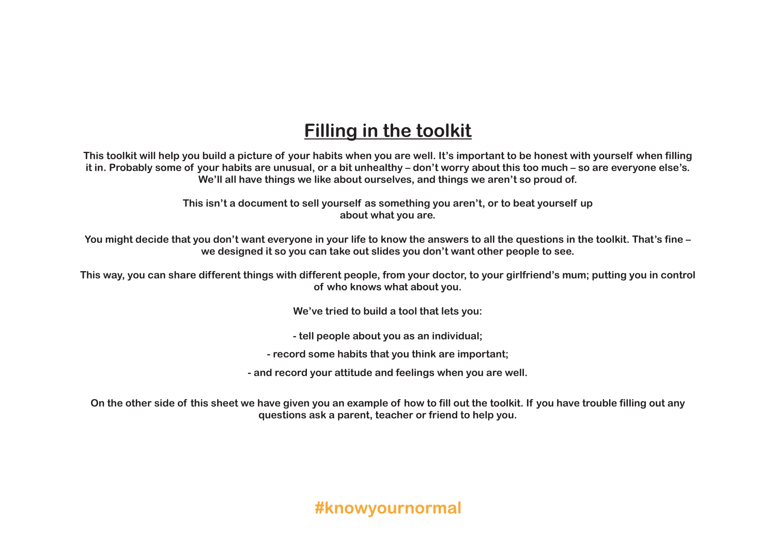### **Filling in the toolkit**

**This toolkit will help you build a picture of your habits when you are well. It's important to be honest with yourself when filling it in. Probably some of your habits are unusual, or a bit unhealthy – don't worry about this too much – so are everyone else's. We'll all have things we like about ourselves, and things we aren't so proud of.**

> **This isn't a document to sell yourself as something you aren't, or to beat yourself up about what you are.**

**You might decide that you don't want everyone in your life to know the answers to all the questions in the toolkit. That's fine – we designed it so you can take out slides you don't want other people to see.**

**This way, you can share different things with different people, from your doctor, to your girlfriend's mum; putting you in control of who knows what about you.**

**We've tried to build a tool that lets you:**

**- tell people about you as an individual;**

**- record some habits that you think are important;**

**- and record your attitude and feelings when you are well.**

**On the other side of this sheet we have given you an example of how to fill out the toolkit. If you have trouble filling out any questions ask a parent, teacher or friend to help you.**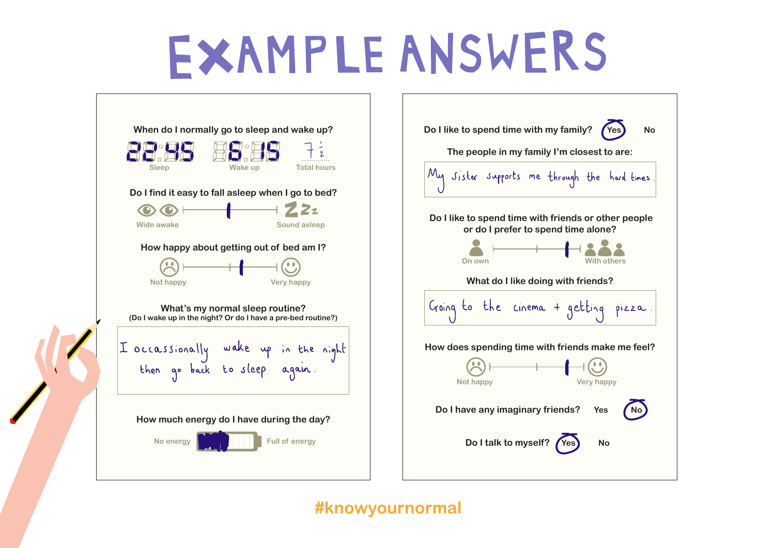# **EXAMPLE ANSWERS**



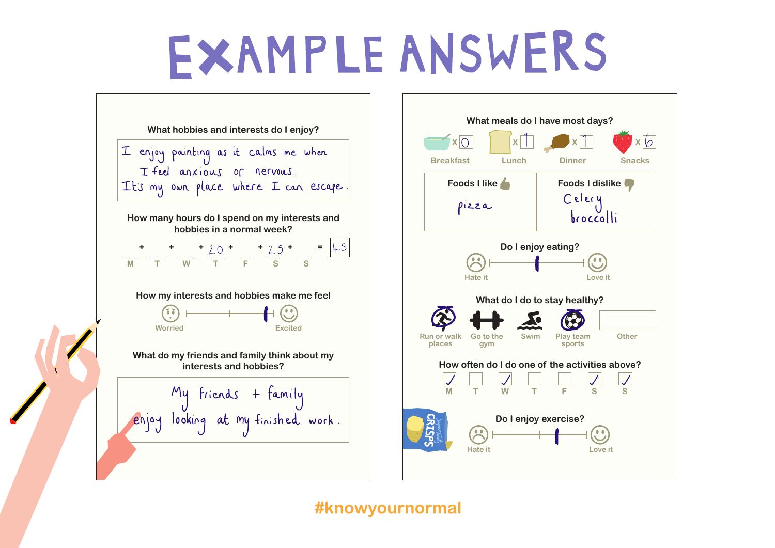# **EXAMPLE ANSWERS**



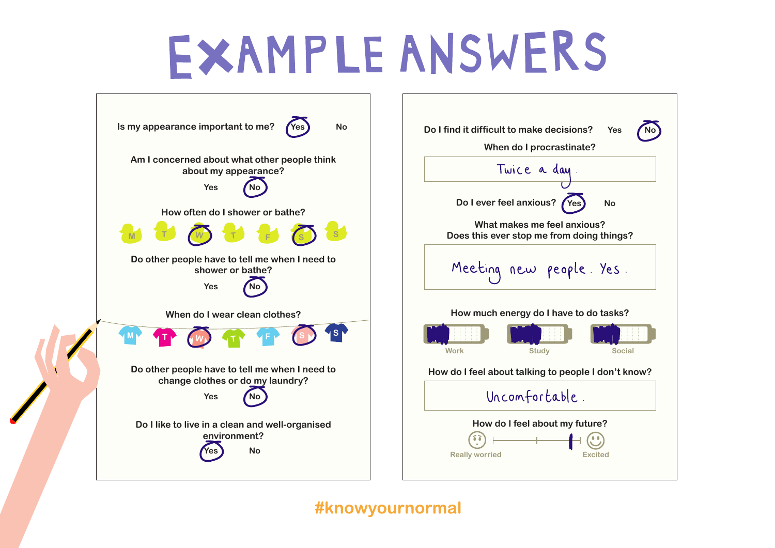# **EXAMPLE ANSWERS**

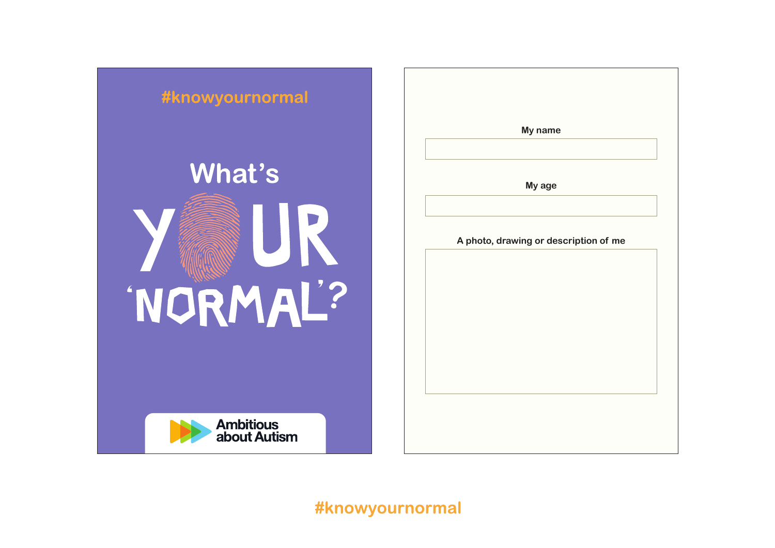

|                                       | My name |  |
|---------------------------------------|---------|--|
|                                       |         |  |
|                                       | My age  |  |
|                                       |         |  |
| A photo, drawing or description of me |         |  |
|                                       |         |  |
|                                       |         |  |
|                                       |         |  |
|                                       |         |  |
|                                       |         |  |
|                                       |         |  |
|                                       |         |  |
|                                       |         |  |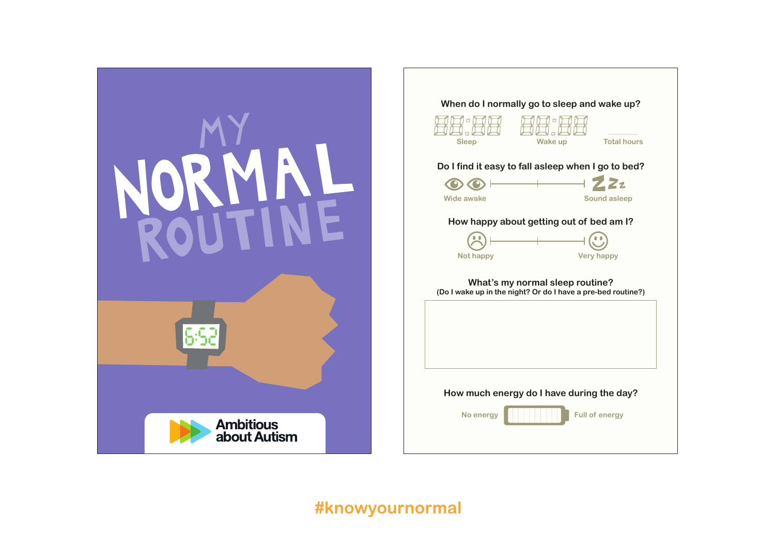

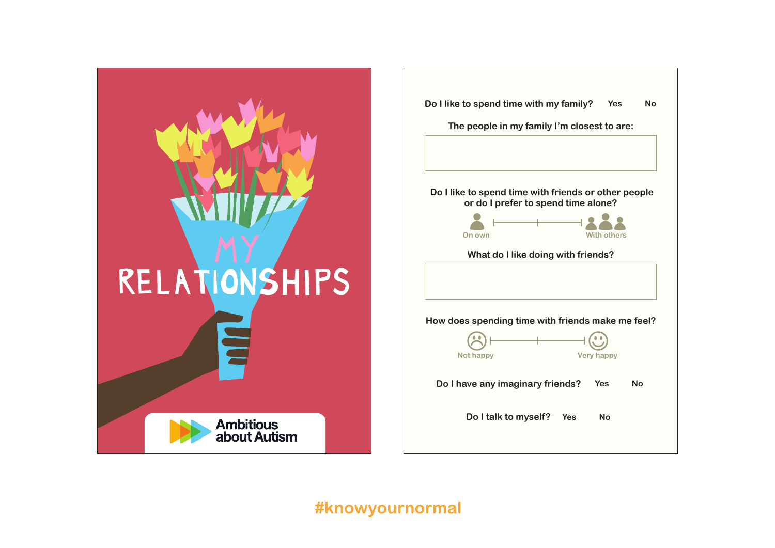

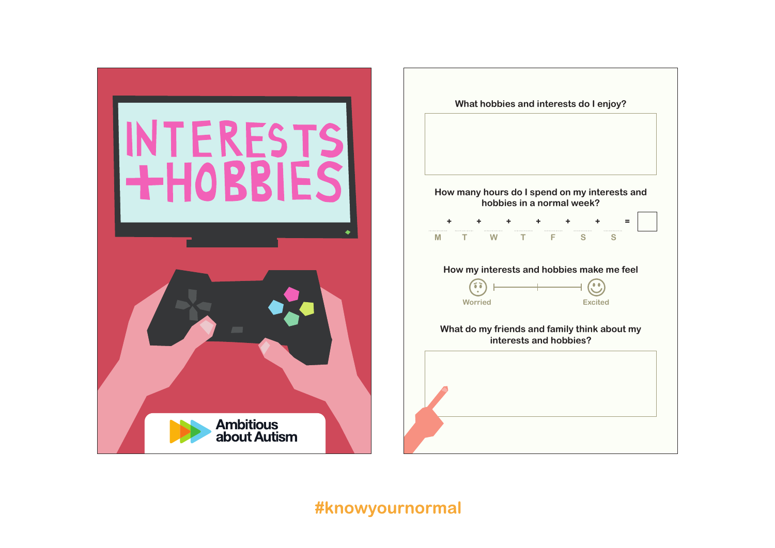

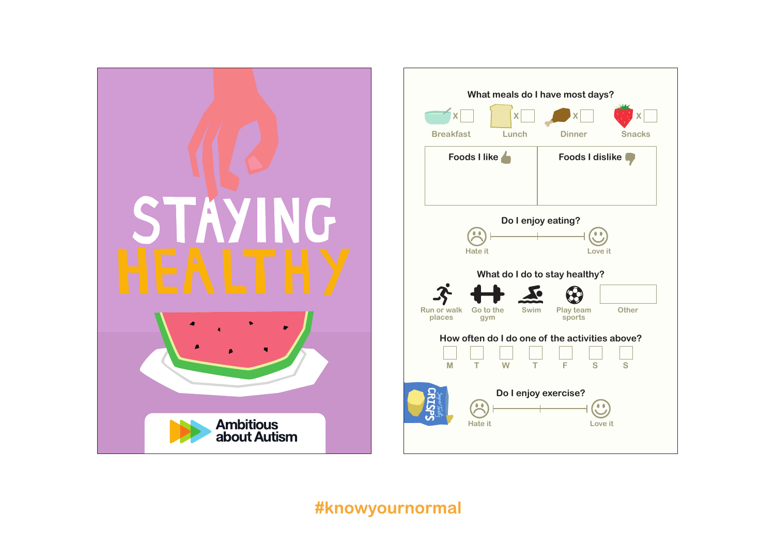

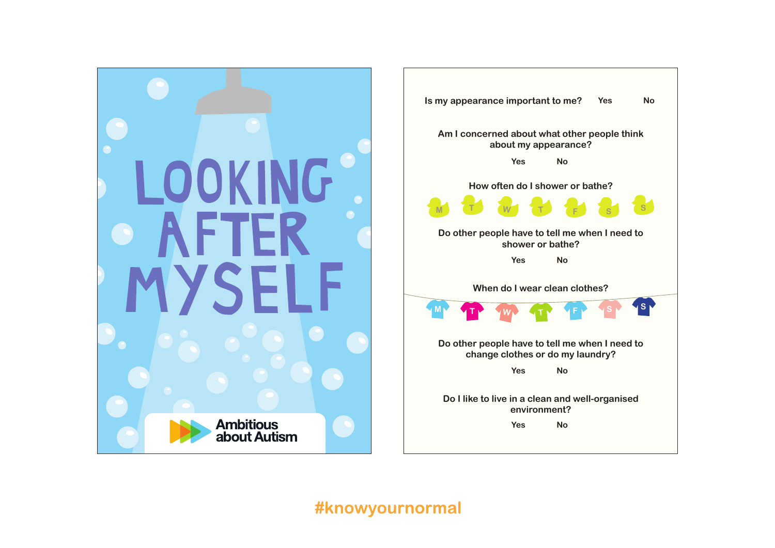